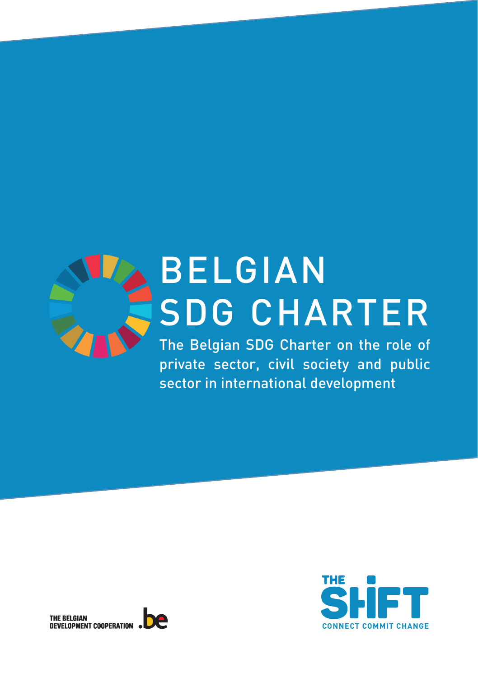

## BELGIAN SDG CHARTER

The Belgian SDG Charter on the role of private sector, civil society and public sector in international development



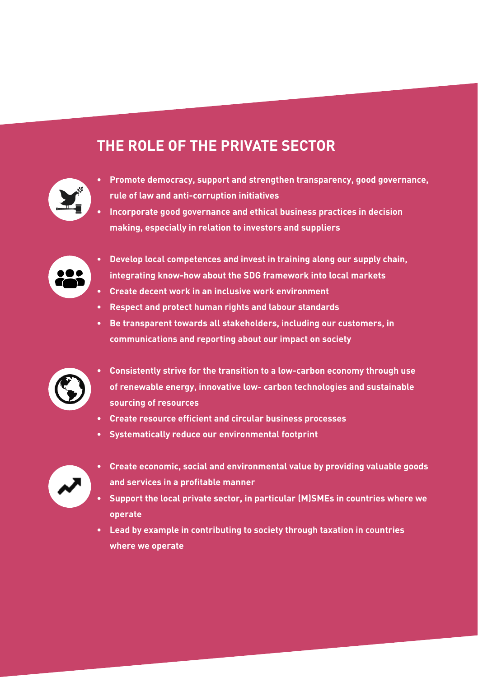#### **THE ROLE OF THE PRIVATE SECTOR**



- **• Promote democracy, support and strengthen transparency, good governance, rule of law and anti-corruption initiatives**
- **• Incorporate good governance and ethical business practices in decision making, especially in relation to investors and suppliers**



- **• Develop local competences and invest in training along our supply chain, integrating know-how about the SDG framework into local markets**
- **• Create decent work in an inclusive work environment**
- **• Respect and protect human rights and labour standards**
- **• Be transparent towards all stakeholders, including our customers, in communications and reporting about our impact on society**



- **• Consistently strive for the transition to a low-carbon economy through use of renewable energy, innovative low- carbon technologies and sustainable sourcing of resources**
- **• Create resource efficient and circular business processes**
- **• Systematically reduce our environmental footprint**



- **• Create economic, social and environmental value by providing valuable goods and services in a profitable manner**
- **• Support the local private sector, in particular (M)SMEs in countries where we operate**
- **• Lead by example in contributing to society through taxation in countries where we operate**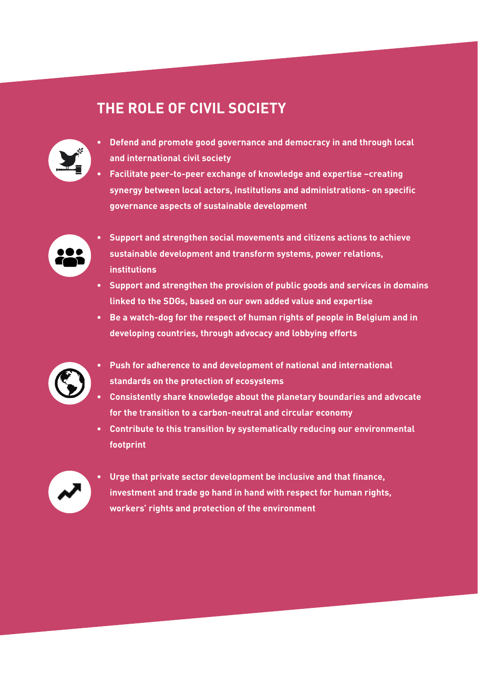### **THE ROLE OF CIVIL SOCIETY**



- **• Defend and promote good governance and democracy in and through local and international civil society**
- **• Facilitate peer-to-peer exchange of knowledge and expertise –creating synergy between local actors, institutions and administrations- on specific governance aspects of sustainable development**



- **• Support and strengthen social movements and citizens actions to achieve sustainable development and transform systems, power relations, institutions**
- **• Support and strengthen the provision of public goods and services in domains linked to the SDGs, based on our own added value and expertise**
- **• Be a watch-dog for the respect of human rights of people in Belgium and in developing countries, through advocacy and lobbying efforts**



- **• Push for adherence to and development of national and international standards on the protection of ecosystems**
- **• Consistently share knowledge about the planetary boundaries and advocate for the transition to a carbon-neutral and circular economy**
- **• Contribute to this transition by systematically reducing our environmental footprint**



**• Urge that private sector development be inclusive and that finance, investment and trade go hand in hand with respect for human rights, workers' rights and protection of the environment**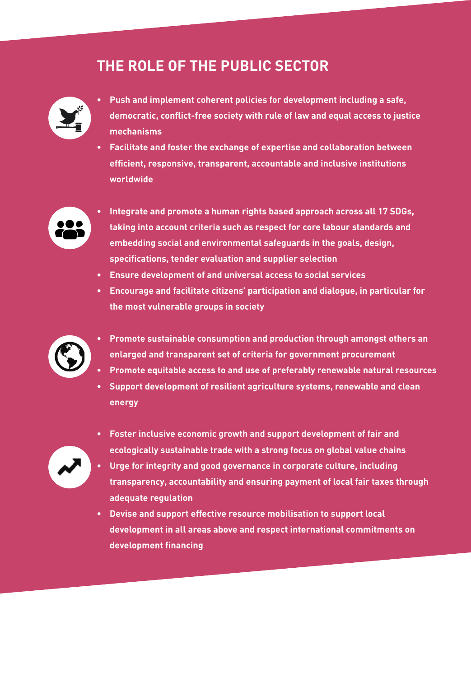### **THE ROLE OF THE PUBLIC SECTOR**



- **• Push and implement coherent policies for development including a safe, democratic, conflict-free society with rule of law and equal access to justice mechanisms**
- **• Facilitate and foster the exchange of expertise and collaboration between efficient, responsive, transparent, accountable and inclusive institutions worldwide**



- **• Integrate and promote a human rights based approach across all 17 SDGs, taking into account criteria such as respect for core labour standards and embedding social and environmental safeguards in the goals, design, specifications, tender evaluation and supplier selection**
- **• Ensure development of and universal access to social services**
- **• Encourage and facilitate citizens' participation and dialogue, in particular for the most vulnerable groups in society**



- **• Promote sustainable consumption and production through amongst others an enlarged and transparent set of criteria for government procurement**
- **• Promote equitable access to and use of preferably renewable natural resources**
- **• Support development of resilient agriculture systems, renewable and clean energy**



- **• Foster inclusive economic growth and support development of fair and ecologically sustainable trade with a strong focus on global value chains**
- **• Urge for integrity and good governance in corporate culture, including transparency, accountability and ensuring payment of local fair taxes through adequate regulation**
- **• Devise and support effective resource mobilisation to support local development in all areas above and respect international commitments on development financing**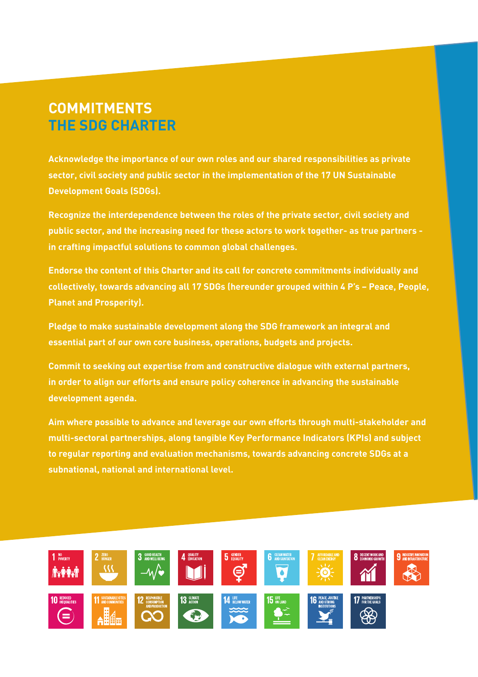#### **COMMITMENTS THE SDG CHARTER**

**Acknowledge the importance of our own roles and our shared responsibilities as private sector, civil society and public sector in the implementation of the 17 UN Sustainable Development Goals (SDGs).**

**Recognize the interdependence between the roles of the private sector, civil society and public sector, and the increasing need for these actors to work together- as true partners in crafting impactful solutions to common global challenges.**

**Endorse the content of this Charter and its call for concrete commitments individually and collectively, towards advancing all 17 SDGs (hereunder grouped within 4 P's – Peace, People, Planet and Prosperity).**

**Pledge to make sustainable development along the SDG framework an integral and essential part of our own core business, operations, budgets and projects.**

**Commit to seeking out expertise from and constructive dialogue with external partners, in order to align our efforts and ensure policy coherence in advancing the sustainable development agenda.**

**Aim where possible to advance and leverage our own efforts through multi-stakeholder and multi-sectoral partnerships, along tangible Key Performance Indicators (KPIs) and subject to regular reporting and evaluation mechanisms, towards advancing concrete SDGs at a subnational, national and international level.**